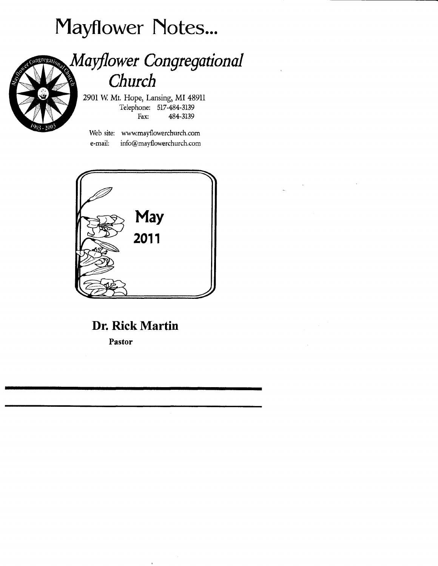# Mayflower Notes...



## Mayflower Congregational Church

290IW Mt. Hope, Lansing, MI48911 Telephone; 517 -484-3139 Fax: 484-3139

Web site: www.mayflowerchurch.com e-mail: info@mayflowerchurch.com



## Dr. Rick Martin

Pastor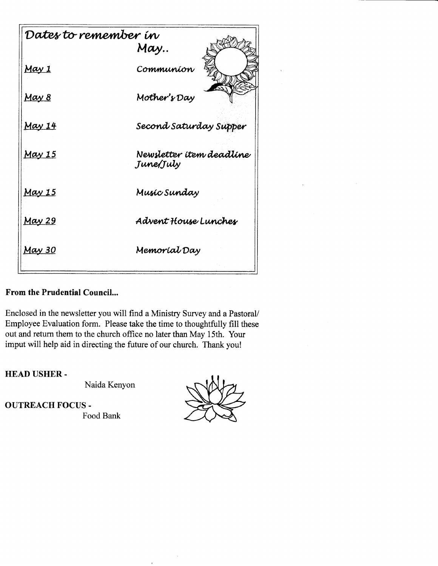| Dates to remember in |                                       |
|----------------------|---------------------------------------|
|                      | May                                   |
| <u>May 1</u>         | Communíon                             |
| <u>May 8</u>         | Mother's Day                          |
| <u>May 14</u>        | Second Saturday Supper                |
| <u>May 15</u>        | Newsletter item deadline<br>June/July |
| <u>May 15</u>        | Musíc Sunday                          |
| <u>May 29</u>        | Advent House Lunches                  |
| <u>May 30</u>        | Memoríal Day                          |

### From the Prudential Council...

Enclosed in the newsletter you will find a Ministry Survey and a Pastoral/ Employee Evaluation form. Please take the time to thoughtfully fill these out and return them to the church office no later than May 15th. Your imput will help aid in directing the future of our church. Thank you!

**HEAD USHER-**

Naida Kenyon

**OUTREACH FOCUS -**Food Bank

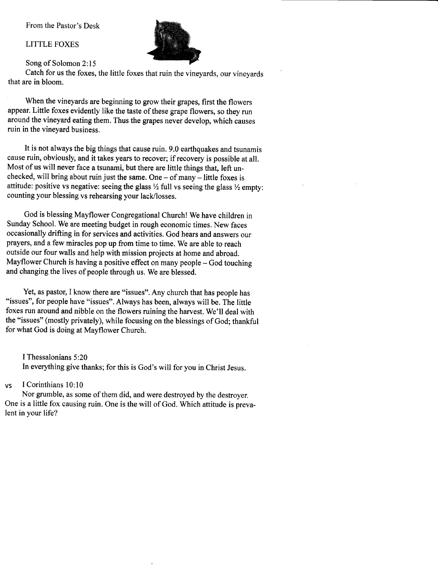From the Pastor's Desk

#### LITTLE FOXES



Song of Solomon 2:15

catch for us the foxes, the little foxes that ruin the vineyards, our vineyards that are in bloom.

When the vineyards are beginning to grow their grapes, first the flowers appear. Little foxes evidently like the taste of these grape flowers, so they run around the vineyard eating them. Thus the grapes never develop, which causes ruin in the vineyard business.

It is not always the big things that cause ruin. 9.0 earthquakes and tsunamis cause ruin, obviously, and it takes years to recover; if recovery is possible at all. Most of us will never face a tsunami, but there are little things that, left unchecked, will bring about ruin just the same. One  $-$  of many  $-$  little foxes is attitude: positive vs negative: seeing the glass  $\frac{1}{2}$  full vs seeing the glass  $\frac{1}{2}$  empty: counting your blessing vs rehearsing your lack/losses.

God is blessing Mayflower congregational church! we have children in Sunday School. We are meeting budget in rough economic times. New faces occasionally drifting in for services and activities. God hears and answers our prayers, and a few miracles pop up from time to time. We are able to reach outside our four walls and help with mission projects at home and abroad. Mayflower Church is having a positive effect on many people  $-$  God touching and changing the lives of people through us. We are blessed.

Yet, as pastor, I know there are "issues". Any church that has people has "issues", for people have "issues". Always has been, always will be. The little foxes run around and nibble on the flowers ruining the harvest, we'll deal with the "issues" (mostly privately), while focusing on the blessings of God; thankful for what God is doing at Mayflower Church.

I Thessalonians 5:20 In everything give thanks; for this is God's will for you in Christ Jesus.

#### vs <sup>I</sup>Corinthians 10:10

Nor grumble, as some of them did, and were destroyed by the destroyer. One is a little fox causing ruin. One is the will of God. Which attitude is prevalent in your life?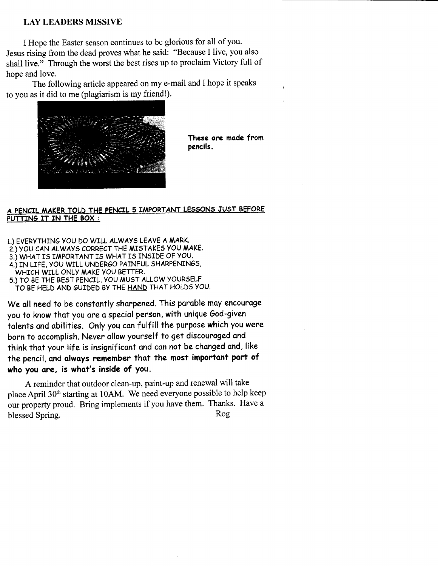### LAY LEADERS MISSIVE

I Hope the Easter season continues to be glorious for all of you. Jesus rising from the dead proves what he said: "Because I live, you also shall live." Through the worst the best rises up to proclaim Victory full of hope and love.

The following article appeared on my e-mail and I hope it speaks to you as it did to me (plagiarism is my friend!).



These ore mode from pencils.

#### A PENCIL MAKER TOLD THE PENCIL 5 IMPORTANT LESSONS JUST BEFORE PUTTING IT IN THE BOX :

1.) EVERyTHTNG vOU DO WrLL ALWAyS LEAVE A MARK. 2.) YOU CAN ALWAYS CORRECT THE MISTAKES YOU MAKE. 3.) WHAT IS IMPORTANT IS WHAT IS INSIDE OF YOU. 4.) IN LIFE, YOU WILL UNDERoO PAINFUL SHARPENIN65, WHICH WILL ONLY MAKE YOU BETTER. 5.) TO BE THE BEsr PENCTL, vOU MU5T ALLOW yOURSELF TO BE HELD AND GUIDED BY THE HAND THAT HOLDS YOU.

We all need to be constantly sharpened. This parable may encourage you to know that you are a special person, with unique God-given talents and abilities. Only you can fulfill the purpose which you were born to accomplish. Never allow yourself to get discouraged and think that your life is insignificant and can not be changed and, like the pencil, and always remember that the most important part of who you are, is what's inside of you.

A reminder that outdoor clean-up, paint-up and renewal will take place April 30<sup>th</sup> starting at 10AM. We need everyone possible to help keep our property proud. Bring implements if you have them. Thanks. Have <sup>a</sup> blessed Spring. Rog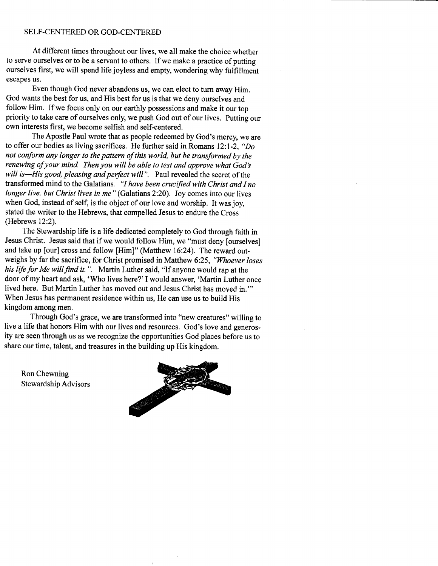#### SELF-CENTERED OR GOD-CENTERED

At different times throughout our lives, we all make the choice whether to serve ourselves or to be a servant to others. If we make a practice of putting ourselves first, we will spend life joyless and empty, wondering why fulfillment escapes us.

Even though God never abandons us, we can elect to turn away Him. God wants the best for us, and His best for us is that we deny ourselves and follow Him. If we focus only on our earthly possessions and make it our top priority to take care of ourselves only, we push God out of our lives. Putting our own interests first, we become selfish and self-centered.

The Apostle Paul wrote that as people redeemed by God's mercy, we are to offer our bodies as living sacrifices. He further said in Romans l2:l-2, "Do not conform any longer to the pattern of this world, but be transformed by the renewing of your mind. Then you will be able to test and approve what God's will is—His good, pleasing and perfect will". Paul revealed the secret of the transformed mind to the Galatians. "I have been crucified with Christ and I no longer live, but Christ lives in me" (Galatians 2:20). Joy comes into our lives when God, instead of self, is the object of our love and worship. It was joy, stated the writer to the Hebrews, that compelled Jesus to endure the Cross (Hebrews l2:2).

The Stewardship life is a life dedicated completely to God through faith in Jesus Christ. Jesus said that if we would follow Him, we "must deny [ourselves] and take up [our] cross and follow [Him]" (Matthew 16:24). The reward outweighs by far the sacrifice, for Christ promised in Matthew 6:25, "Whoever loses" his life for Me will find it.". Martin Luther said, "If anyone would rap at the door of my heart and ask, 'Who lives here?'I would answer, 'Martin Luther once lived here. But Martin Luther has moved out and Jesus Christ has moved in."' When Jesus has permanent residence within us, He can use us to build His kingdom among men.

Through God's grace, we are transformed into "new creatures" willing to live a life that honors Him with our lives and resources. God's love and generosity are seen through us as we recognize the opportunities God places before us to share our time, talent, and treasures in the building up His kingdom.

Ron Chewning Stewardship Advisors